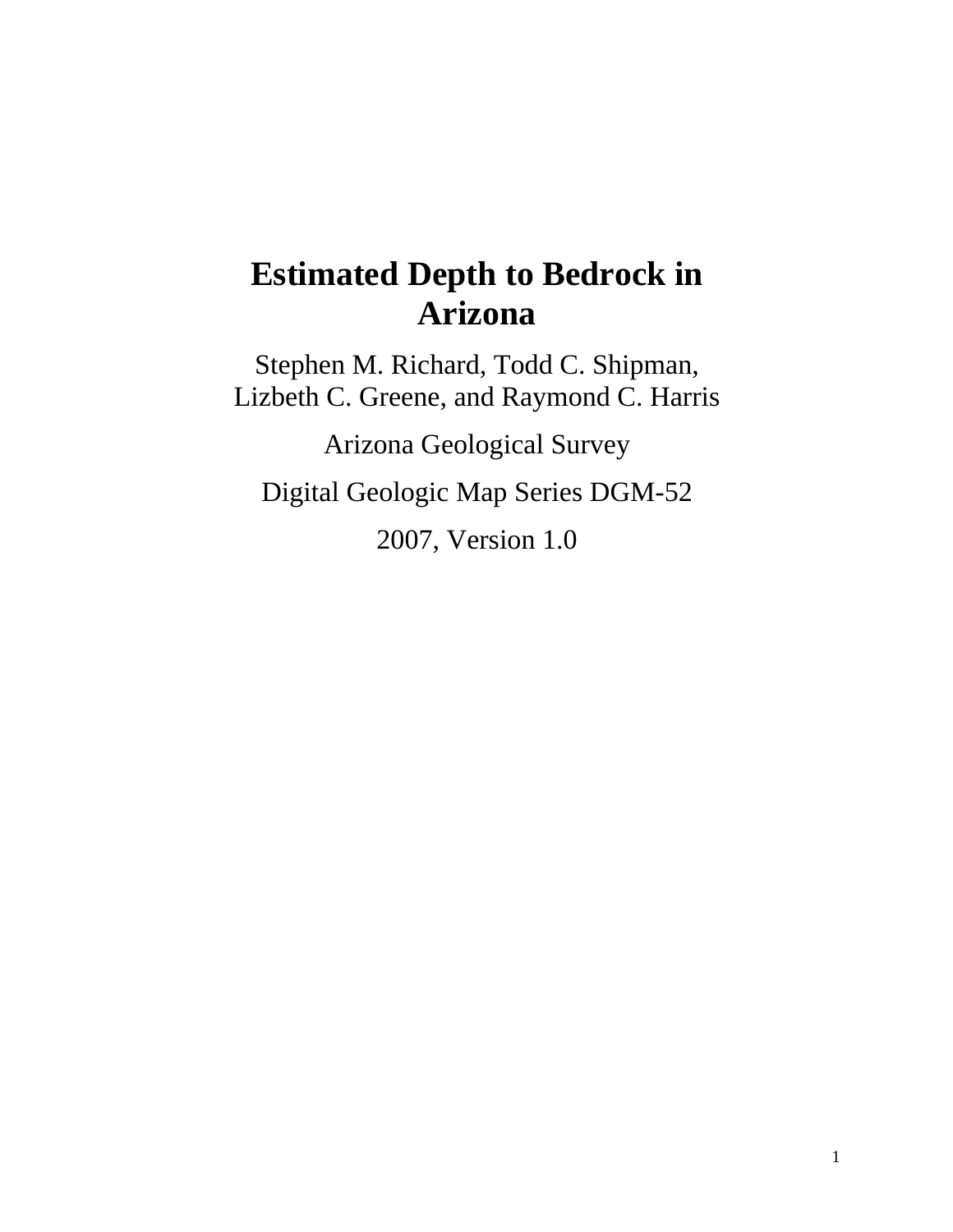# **Estimated Depth to Bedrock in Arizona**

Stephen M. Richard, Todd C. Shipman, Lizbeth C. Greene, and Raymond C. Harris

Arizona Geological Survey

Digital Geologic Map Series DGM-52

2007, Version 1.0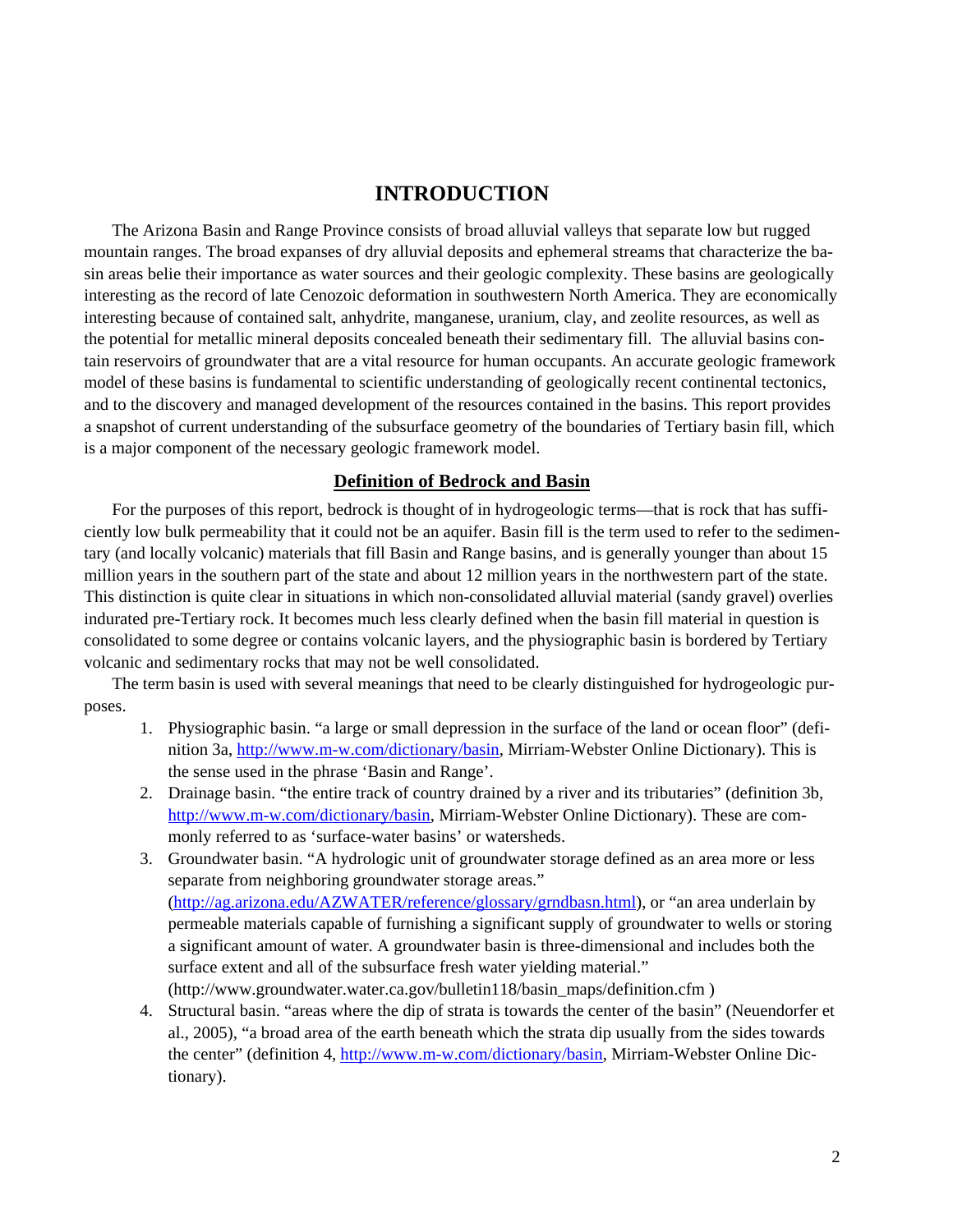# **INTRODUCTION**

The Arizona Basin and Range Province consists of broad alluvial valleys that separate low but rugged mountain ranges. The broad expanses of dry alluvial deposits and ephemeral streams that characterize the basin areas belie their importance as water sources and their geologic complexity. These basins are geologically interesting as the record of late Cenozoic deformation in southwestern North America. They are economically interesting because of contained salt, anhydrite, manganese, uranium, clay, and zeolite resources, as well as the potential for metallic mineral deposits concealed beneath their sedimentary fill. The alluvial basins contain reservoirs of groundwater that are a vital resource for human occupants. An accurate geologic framework model of these basins is fundamental to scientific understanding of geologically recent continental tectonics, and to the discovery and managed development of the resources contained in the basins. This report provides a snapshot of current understanding of the subsurface geometry of the boundaries of Tertiary basin fill, which is a major component of the necessary geologic framework model.

#### **Definition of Bedrock and Basin**

For the purposes of this report, bedrock is thought of in hydrogeologic terms—that is rock that has sufficiently low bulk permeability that it could not be an aquifer. Basin fill is the term used to refer to the sedimentary (and locally volcanic) materials that fill Basin and Range basins, and is generally younger than about 15 million years in the southern part of the state and about 12 million years in the northwestern part of the state. This distinction is quite clear in situations in which non-consolidated alluvial material (sandy gravel) overlies indurated pre-Tertiary rock. It becomes much less clearly defined when the basin fill material in question is consolidated to some degree or contains volcanic layers, and the physiographic basin is bordered by Tertiary volcanic and sedimentary rocks that may not be well consolidated.

The term basin is used with several meanings that need to be clearly distinguished for hydrogeologic purposes.

- 1. Physiographic basin. "a large or small depression in the surface of the land or ocean floor" (definition 3a, [http://www.m-w.com/dictionary/basin,](http://www.m-w.com/dictionary/basin) Mirriam-Webster Online Dictionary). This is the sense used in the phrase 'Basin and Range'.
- 2. Drainage basin. "the entire track of country drained by a river and its tributaries" (definition 3b, [http://www.m-w.com/dictionary/basin,](http://www.m-w.com/dictionary/basin) Mirriam-Webster Online Dictionary). These are commonly referred to as 'surface-water basins' or watersheds.
- 3. Groundwater basin. "A hydrologic unit of groundwater storage defined as an area more or less separate from neighboring groundwater storage areas." ([http://ag.arizona.edu/AZWATER/reference/glossary/grndbasn.html\)](http://ag.arizona.edu/AZWATER/reference/glossary/grndbasn.html), or "an area underlain by permeable materials capable of furnishing a significant supply of groundwater to wells or storing a significant amount of water. A groundwater basin is three-dimensional and includes both the surface extent and all of the subsurface fresh water yielding material." (http://www.groundwater.water.ca.gov/bulletin118/basin\_maps/definition.cfm )
- 4. Structural basin. "areas where the dip of strata is towards the center of the basin" (Neuendorfer et al., 2005), "a broad area of the earth beneath which the strata dip usually from the sides towards the center" (definition 4, <http://www.m-w.com/dictionary/basin>, Mirriam-Webster Online Dictionary).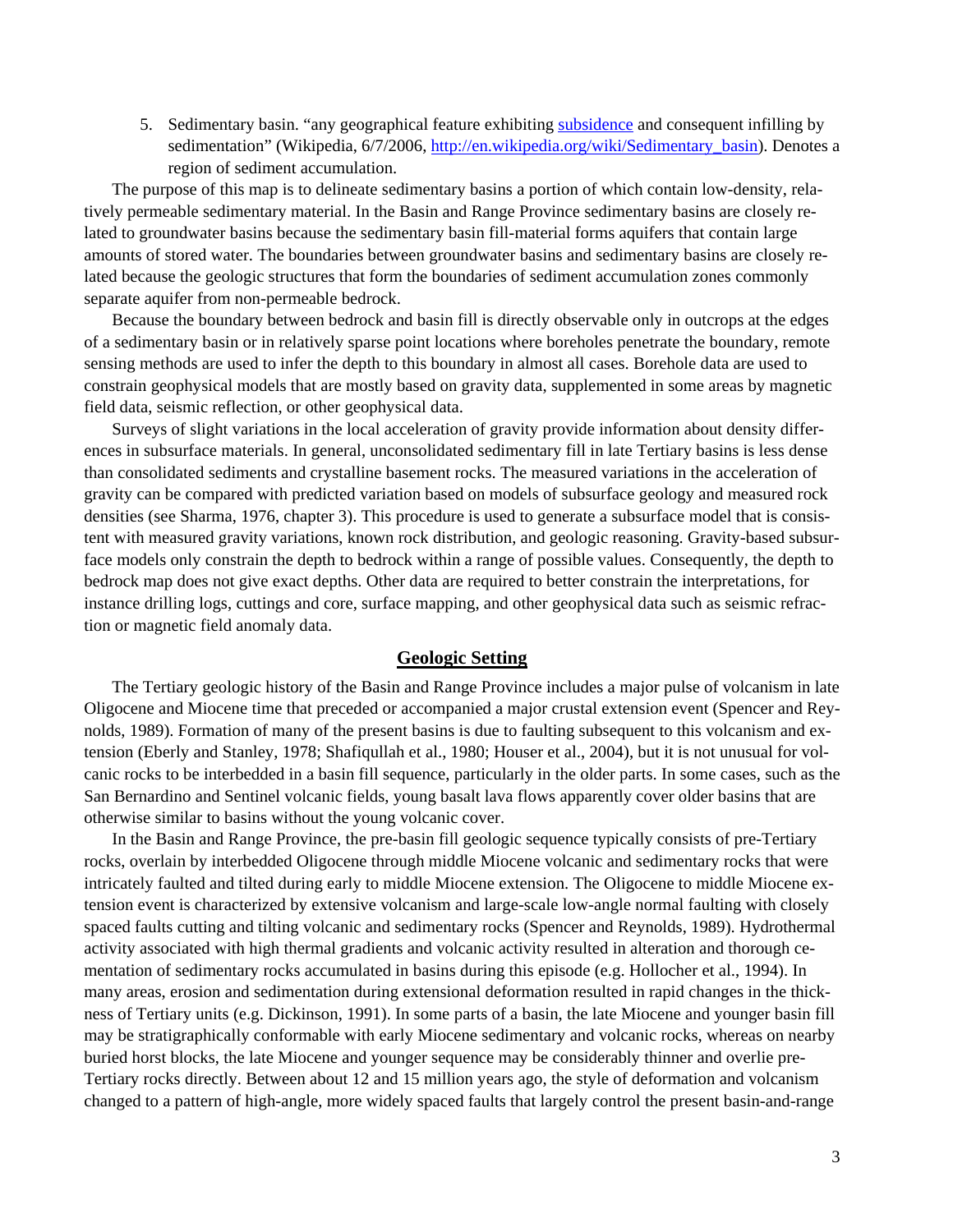5. Sedimentary basin. "any geographical feature exhibiting [subsidence](http://en.wikipedia.org/wiki/Subsidence) and consequent infilling by sedimentation" (Wikipedia, 6/7/2006, [http://en.wikipedia.org/wiki/Sedimentary\\_basin](http://en.wikipedia.org/wiki/Sed%1Fimentary_basin)). Denotes a region of sediment accumulation.

The purpose of this map is to delineate sedimentary basins a portion of which contain low-density, relatively permeable sedimentary material. In the Basin and Range Province sedimentary basins are closely related to groundwater basins because the sedimentary basin fill-material forms aquifers that contain large amounts of stored water. The boundaries between groundwater basins and sedimentary basins are closely related because the geologic structures that form the boundaries of sediment accumulation zones commonly separate aquifer from non-permeable bedrock.

Because the boundary between bedrock and basin fill is directly observable only in outcrops at the edges of a sedimentary basin or in relatively sparse point locations where boreholes penetrate the boundary, remote sensing methods are used to infer the depth to this boundary in almost all cases. Borehole data are used to constrain geophysical models that are mostly based on gravity data, supplemented in some areas by magnetic field data, seismic reflection, or other geophysical data.

Surveys of slight variations in the local acceleration of gravity provide information about density differences in subsurface materials. In general, unconsolidated sedimentary fill in late Tertiary basins is less dense than consolidated sediments and crystalline basement rocks. The measured variations in the acceleration of gravity can be compared with predicted variation based on models of subsurface geology and measured rock densities (see Sharma, 1976, chapter 3). This procedure is used to generate a subsurface model that is consistent with measured gravity variations, known rock distribution, and geologic reasoning. Gravity-based subsurface models only constrain the depth to bedrock within a range of possible values. Consequently, the depth to bedrock map does not give exact depths. Other data are required to better constrain the interpretations, for instance drilling logs, cuttings and core, surface mapping, and other geophysical data such as seismic refraction or magnetic field anomaly data.

#### **Geologic Setting**

The Tertiary geologic history of the Basin and Range Province includes a major pulse of volcanism in late Oligocene and Miocene time that preceded or accompanied a major crustal extension event (Spencer and Reynolds, 1989). Formation of many of the present basins is due to faulting subsequent to this volcanism and extension (Eberly and Stanley, 1978; Shafiqullah et al., 1980; Houser et al., 2004), but it is not unusual for volcanic rocks to be interbedded in a basin fill sequence, particularly in the older parts. In some cases, such as the San Bernardino and Sentinel volcanic fields, young basalt lava flows apparently cover older basins that are otherwise similar to basins without the young volcanic cover.

In the Basin and Range Province, the pre-basin fill geologic sequence typically consists of pre-Tertiary rocks, overlain by interbedded Oligocene through middle Miocene volcanic and sedimentary rocks that were intricately faulted and tilted during early to middle Miocene extension. The Oligocene to middle Miocene extension event is characterized by extensive volcanism and large-scale low-angle normal faulting with closely spaced faults cutting and tilting volcanic and sedimentary rocks (Spencer and Reynolds, 1989). Hydrothermal activity associated with high thermal gradients and volcanic activity resulted in alteration and thorough cementation of sedimentary rocks accumulated in basins during this episode (e.g. Hollocher et al., 1994). In many areas, erosion and sedimentation during extensional deformation resulted in rapid changes in the thickness of Tertiary units (e.g. Dickinson, 1991). In some parts of a basin, the late Miocene and younger basin fill may be stratigraphically conformable with early Miocene sedimentary and volcanic rocks, whereas on nearby buried horst blocks, the late Miocene and younger sequence may be considerably thinner and overlie pre-Tertiary rocks directly. Between about 12 and 15 million years ago, the style of deformation and volcanism changed to a pattern of high-angle, more widely spaced faults that largely control the present basin-and-range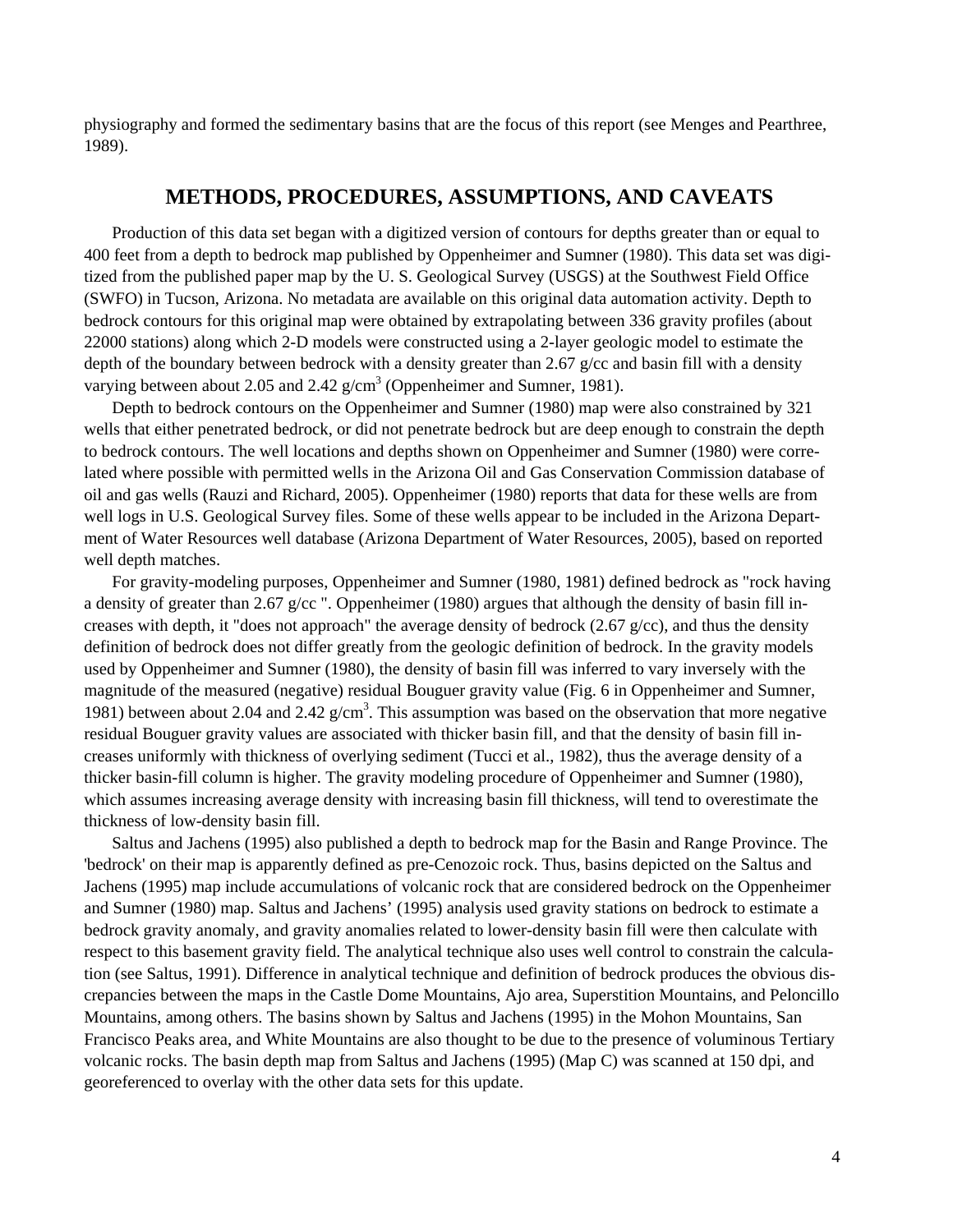physiography and formed the sedimentary basins that are the focus of this report (see Menges and Pearthree, 1989).

### **METHODS, PROCEDURES, ASSUMPTIONS, AND CAVEATS**

Production of this data set began with a digitized version of contours for depths greater than or equal to 400 feet from a depth to bedrock map published by Oppenheimer and Sumner (1980). This data set was digitized from the published paper map by the U. S. Geological Survey (USGS) at the Southwest Field Office (SWFO) in Tucson, Arizona. No metadata are available on this original data automation activity. Depth to bedrock contours for this original map were obtained by extrapolating between 336 gravity profiles (about 22000 stations) along which 2-D models were constructed using a 2-layer geologic model to estimate the depth of the boundary between bedrock with a density greater than 2.67  $g/cc$  and basin fill with a density varying between about 2.05 and 2.42  $g/cm<sup>3</sup>$  (Oppenheimer and Sumner, 1981).

Depth to bedrock contours on the Oppenheimer and Sumner (1980) map were also constrained by 321 wells that either penetrated bedrock, or did not penetrate bedrock but are deep enough to constrain the depth to bedrock contours. The well locations and depths shown on Oppenheimer and Sumner (1980) were correlated where possible with permitted wells in the Arizona Oil and Gas Conservation Commission database of oil and gas wells (Rauzi and Richard, 2005). Oppenheimer (1980) reports that data for these wells are from well logs in U.S. Geological Survey files. Some of these wells appear to be included in the Arizona Department of Water Resources well database (Arizona Department of Water Resources, 2005), based on reported well depth matches.

For gravity-modeling purposes, Oppenheimer and Sumner (1980, 1981) defined bedrock as "rock having a density of greater than 2.67 g/cc ". Oppenheimer (1980) argues that although the density of basin fill increases with depth, it "does not approach" the average density of bedrock (2.67  $g$ /cc), and thus the density definition of bedrock does not differ greatly from the geologic definition of bedrock. In the gravity models used by Oppenheimer and Sumner (1980), the density of basin fill was inferred to vary inversely with the magnitude of the measured (negative) residual Bouguer gravity value (Fig. 6 in Oppenheimer and Sumner, 1981) between about 2.04 and 2.42  $g/cm<sup>3</sup>$ . This assumption was based on the observation that more negative residual Bouguer gravity values are associated with thicker basin fill, and that the density of basin fill increases uniformly with thickness of overlying sediment (Tucci et al., 1982), thus the average density of a thicker basin-fill column is higher. The gravity modeling procedure of Oppenheimer and Sumner (1980), which assumes increasing average density with increasing basin fill thickness, will tend to overestimate the thickness of low-density basin fill.

Saltus and Jachens (1995) also published a depth to bedrock map for the Basin and Range Province. The 'bedrock' on their map is apparently defined as pre-Cenozoic rock. Thus, basins depicted on the Saltus and Jachens (1995) map include accumulations of volcanic rock that are considered bedrock on the Oppenheimer and Sumner (1980) map. Saltus and Jachens' (1995) analysis used gravity stations on bedrock to estimate a bedrock gravity anomaly, and gravity anomalies related to lower-density basin fill were then calculate with respect to this basement gravity field. The analytical technique also uses well control to constrain the calculation (see Saltus, 1991). Difference in analytical technique and definition of bedrock produces the obvious discrepancies between the maps in the Castle Dome Mountains, Ajo area, Superstition Mountains, and Peloncillo Mountains, among others. The basins shown by Saltus and Jachens (1995) in the Mohon Mountains, San Francisco Peaks area, and White Mountains are also thought to be due to the presence of voluminous Tertiary volcanic rocks. The basin depth map from Saltus and Jachens (1995) (Map C) was scanned at 150 dpi, and georeferenced to overlay with the other data sets for this update.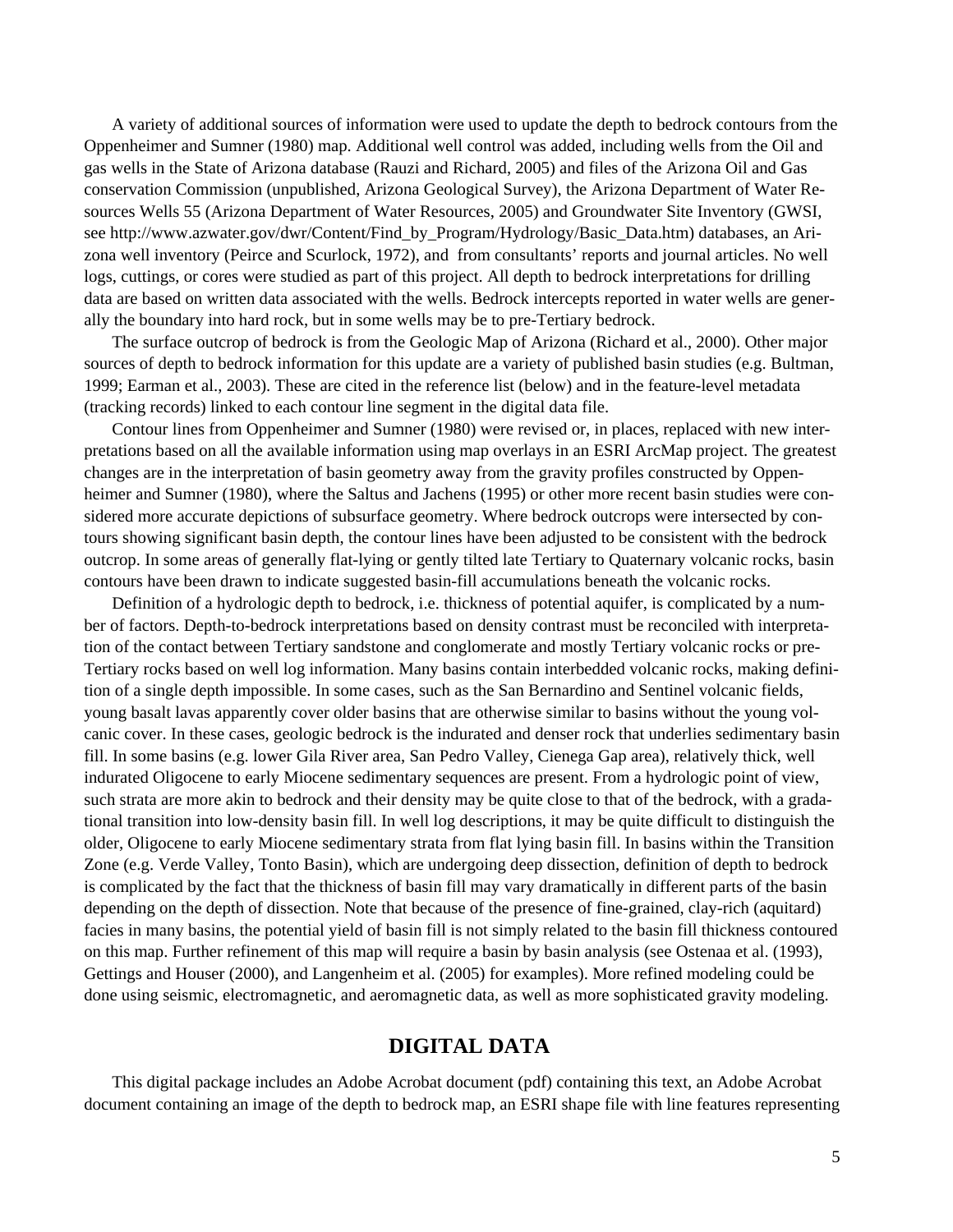A variety of additional sources of information were used to update the depth to bedrock contours from the Oppenheimer and Sumner (1980) map. Additional well control was added, including wells from the Oil and gas wells in the State of Arizona database (Rauzi and Richard, 2005) and files of the Arizona Oil and Gas conservation Commission (unpublished, Arizona Geological Survey), the Arizona Department of Water Resources Wells 55 (Arizona Department of Water Resources, 2005) and Groundwater Site Inventory (GWSI, see http://www.azwater.gov/dwr/Content/Find\_by\_Program/Hydrology/Basic\_Data.htm) databases, an Arizona well inventory (Peirce and Scurlock, 1972), and from consultants' reports and journal articles. No well logs, cuttings, or cores were studied as part of this project. All depth to bedrock interpretations for drilling data are based on written data associated with the wells. Bedrock intercepts reported in water wells are generally the boundary into hard rock, but in some wells may be to pre-Tertiary bedrock.

The surface outcrop of bedrock is from the Geologic Map of Arizona (Richard et al., 2000). Other major sources of depth to bedrock information for this update are a variety of published basin studies (e.g. Bultman, 1999; Earman et al., 2003). These are cited in the reference list (below) and in the feature-level metadata (tracking records) linked to each contour line segment in the digital data file.

Contour lines from Oppenheimer and Sumner (1980) were revised or, in places, replaced with new interpretations based on all the available information using map overlays in an ESRI ArcMap project. The greatest changes are in the interpretation of basin geometry away from the gravity profiles constructed by Oppenheimer and Sumner (1980), where the Saltus and Jachens (1995) or other more recent basin studies were considered more accurate depictions of subsurface geometry. Where bedrock outcrops were intersected by contours showing significant basin depth, the contour lines have been adjusted to be consistent with the bedrock outcrop. In some areas of generally flat-lying or gently tilted late Tertiary to Quaternary volcanic rocks, basin contours have been drawn to indicate suggested basin-fill accumulations beneath the volcanic rocks.

Definition of a hydrologic depth to bedrock, i.e. thickness of potential aquifer, is complicated by a number of factors. Depth-to-bedrock interpretations based on density contrast must be reconciled with interpretation of the contact between Tertiary sandstone and conglomerate and mostly Tertiary volcanic rocks or pre-Tertiary rocks based on well log information. Many basins contain interbedded volcanic rocks, making definition of a single depth impossible. In some cases, such as the San Bernardino and Sentinel volcanic fields, young basalt lavas apparently cover older basins that are otherwise similar to basins without the young volcanic cover. In these cases, geologic bedrock is the indurated and denser rock that underlies sedimentary basin fill. In some basins (e.g. lower Gila River area, San Pedro Valley, Cienega Gap area), relatively thick, well indurated Oligocene to early Miocene sedimentary sequences are present. From a hydrologic point of view, such strata are more akin to bedrock and their density may be quite close to that of the bedrock, with a gradational transition into low-density basin fill. In well log descriptions, it may be quite difficult to distinguish the older, Oligocene to early Miocene sedimentary strata from flat lying basin fill. In basins within the Transition Zone (e.g. Verde Valley, Tonto Basin), which are undergoing deep dissection, definition of depth to bedrock is complicated by the fact that the thickness of basin fill may vary dramatically in different parts of the basin depending on the depth of dissection. Note that because of the presence of fine-grained, clay-rich (aquitard) facies in many basins, the potential yield of basin fill is not simply related to the basin fill thickness contoured on this map. Further refinement of this map will require a basin by basin analysis (see Ostenaa et al. (1993), Gettings and Houser (2000), and Langenheim et al. (2005) for examples). More refined modeling could be done using seismic, electromagnetic, and aeromagnetic data, as well as more sophisticated gravity modeling.

# **DIGITAL DATA**

This digital package includes an Adobe Acrobat document (pdf) containing this text, an Adobe Acrobat document containing an image of the depth to bedrock map, an ESRI shape file with line features representing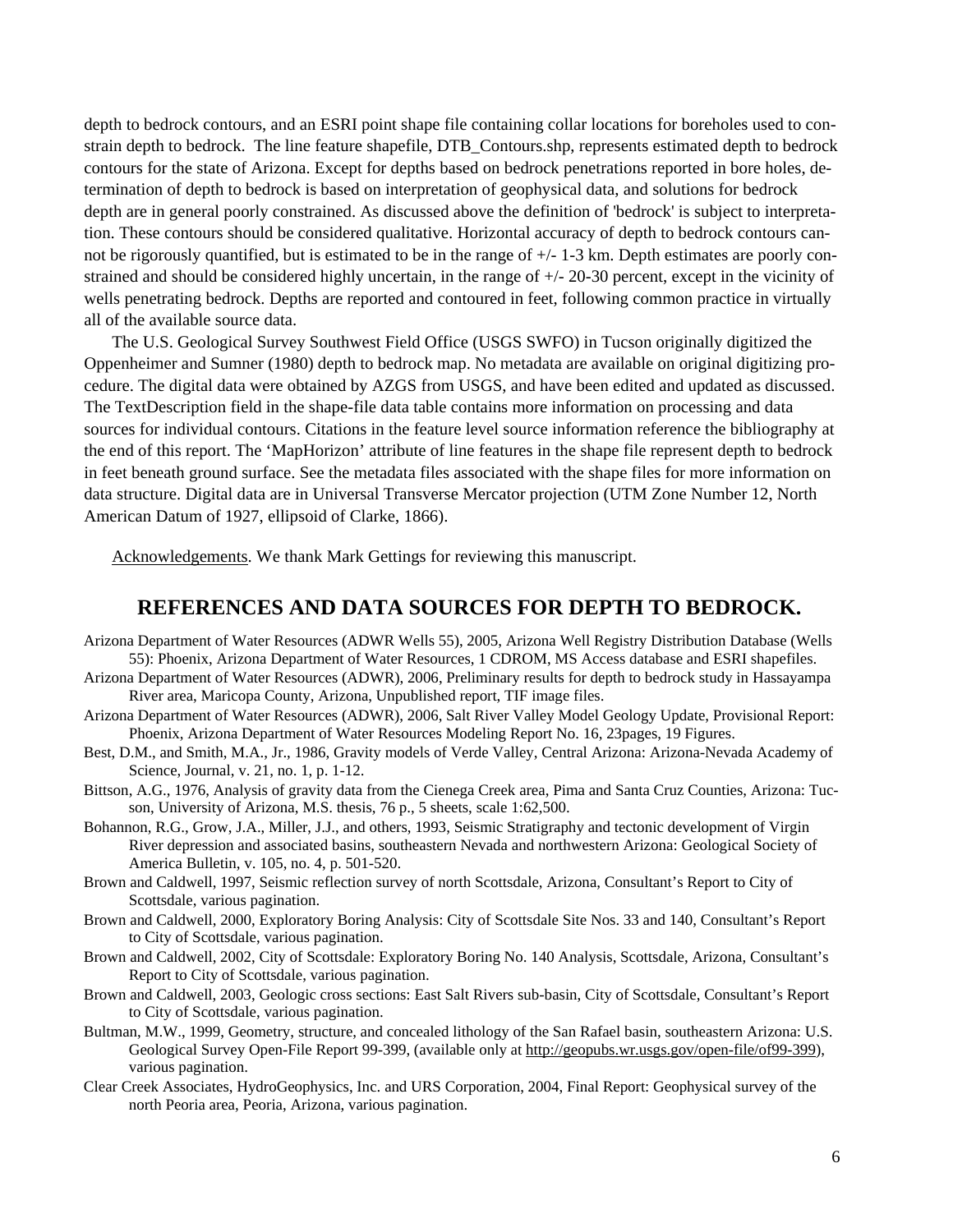depth to bedrock contours, and an ESRI point shape file containing collar locations for boreholes used to constrain depth to bedrock. The line feature shapefile, DTB\_Contours.shp, represents estimated depth to bedrock contours for the state of Arizona. Except for depths based on bedrock penetrations reported in bore holes, determination of depth to bedrock is based on interpretation of geophysical data, and solutions for bedrock depth are in general poorly constrained. As discussed above the definition of 'bedrock' is subject to interpretation. These contours should be considered qualitative. Horizontal accuracy of depth to bedrock contours cannot be rigorously quantified, but is estimated to be in the range of  $+/-1-3$  km. Depth estimates are poorly constrained and should be considered highly uncertain, in the range of +/- 20-30 percent, except in the vicinity of wells penetrating bedrock. Depths are reported and contoured in feet, following common practice in virtually all of the available source data.

The U.S. Geological Survey Southwest Field Office (USGS SWFO) in Tucson originally digitized the Oppenheimer and Sumner (1980) depth to bedrock map. No metadata are available on original digitizing procedure. The digital data were obtained by AZGS from USGS, and have been edited and updated as discussed. The TextDescription field in the shape-file data table contains more information on processing and data sources for individual contours. Citations in the feature level source information reference the bibliography at the end of this report. The 'MapHorizon' attribute of line features in the shape file represent depth to bedrock in feet beneath ground surface. See the metadata files associated with the shape files for more information on data structure. Digital data are in Universal Transverse Mercator projection (UTM Zone Number 12, North American Datum of 1927, ellipsoid of Clarke, 1866).

Acknowledgements. We thank Mark Gettings for reviewing this manuscript.

# **REFERENCES AND DATA SOURCES FOR DEPTH TO BEDROCK.**

- Arizona Department of Water Resources (ADWR Wells 55), 2005, Arizona Well Registry Distribution Database (Wells 55): Phoenix, Arizona Department of Water Resources, 1 CDROM, MS Access database and ESRI shapefiles.
- Arizona Department of Water Resources (ADWR), 2006, Preliminary results for depth to bedrock study in Hassayampa River area, Maricopa County, Arizona, Unpublished report, TIF image files.
- Arizona Department of Water Resources (ADWR), 2006, Salt River Valley Model Geology Update, Provisional Report: Phoenix, Arizona Department of Water Resources Modeling Report No. 16, 23pages, 19 Figures.
- Best, D.M., and Smith, M.A., Jr., 1986, Gravity models of Verde Valley, Central Arizona: Arizona-Nevada Academy of Science, Journal, v. 21, no. 1, p. 1-12.
- Bittson, A.G., 1976, Analysis of gravity data from the Cienega Creek area, Pima and Santa Cruz Counties, Arizona: Tucson, University of Arizona, M.S. thesis, 76 p., 5 sheets, scale 1:62,500.
- Bohannon, R.G., Grow, J.A., Miller, J.J., and others, 1993, Seismic Stratigraphy and tectonic development of Virgin River depression and associated basins, southeastern Nevada and northwestern Arizona: Geological Society of America Bulletin, v. 105, no. 4, p. 501-520.
- Brown and Caldwell, 1997, Seismic reflection survey of north Scottsdale, Arizona, Consultant's Report to City of Scottsdale, various pagination.
- Brown and Caldwell, 2000, Exploratory Boring Analysis: City of Scottsdale Site Nos. 33 and 140, Consultant's Report to City of Scottsdale, various pagination.
- Brown and Caldwell, 2002, City of Scottsdale: Exploratory Boring No. 140 Analysis, Scottsdale, Arizona, Consultant's Report to City of Scottsdale, various pagination.
- Brown and Caldwell, 2003, Geologic cross sections: East Salt Rivers sub-basin, City of Scottsdale, Consultant's Report to City of Scottsdale, various pagination.
- Bultman, M.W., 1999, Geometry, structure, and concealed lithology of the San Rafael basin, southeastern Arizona: U.S. Geological Survey Open-File Report 99-399, (available only at <http://geopubs.wr.usgs.gov/open-file/of99-399>), various pagination.
- Clear Creek Associates, HydroGeophysics, Inc. and URS Corporation, 2004, Final Report: Geophysical survey of the north Peoria area, Peoria, Arizona, various pagination.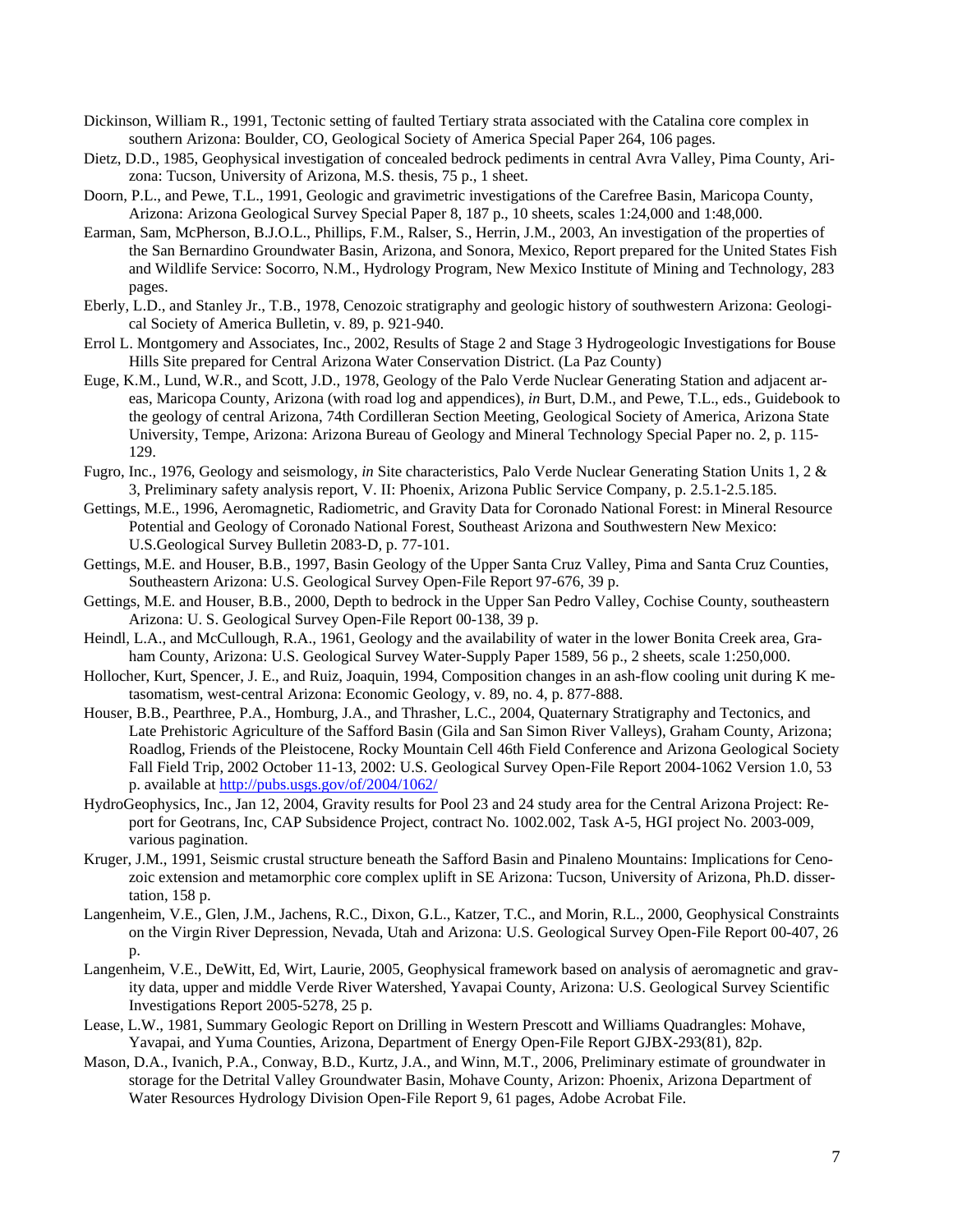- Dickinson, William R., 1991, Tectonic setting of faulted Tertiary strata associated with the Catalina core complex in southern Arizona: Boulder, CO, Geological Society of America Special Paper 264, 106 pages.
- Dietz, D.D., 1985, Geophysical investigation of concealed bedrock pediments in central Avra Valley, Pima County, Arizona: Tucson, University of Arizona, M.S. thesis, 75 p., 1 sheet.
- Doorn, P.L., and Pewe, T.L., 1991, Geologic and gravimetric investigations of the Carefree Basin, Maricopa County, Arizona: Arizona Geological Survey Special Paper 8, 187 p., 10 sheets, scales 1:24,000 and 1:48,000.
- Earman, Sam, McPherson, B.J.O.L., Phillips, F.M., Ralser, S., Herrin, J.M., 2003, An investigation of the properties of the San Bernardino Groundwater Basin, Arizona, and Sonora, Mexico, Report prepared for the United States Fish and Wildlife Service: Socorro, N.M., Hydrology Program, New Mexico Institute of Mining and Technology, 283 pages.
- Eberly, L.D., and Stanley Jr., T.B., 1978, Cenozoic stratigraphy and geologic history of southwestern Arizona: Geological Society of America Bulletin, v. 89, p. 921-940.
- Errol L. Montgomery and Associates, Inc., 2002, Results of Stage 2 and Stage 3 Hydrogeologic Investigations for Bouse Hills Site prepared for Central Arizona Water Conservation District. (La Paz County)
- Euge, K.M., Lund, W.R., and Scott, J.D., 1978, Geology of the Palo Verde Nuclear Generating Station and adjacent areas, Maricopa County, Arizona (with road log and appendices), *in* Burt, D.M., and Pewe, T.L., eds., Guidebook to the geology of central Arizona, 74th Cordilleran Section Meeting, Geological Society of America, Arizona State University, Tempe, Arizona: Arizona Bureau of Geology and Mineral Technology Special Paper no. 2, p. 115- 129.
- Fugro, Inc., 1976, Geology and seismology, *in* Site characteristics, Palo Verde Nuclear Generating Station Units 1, 2 & 3, Preliminary safety analysis report, V. II: Phoenix, Arizona Public Service Company, p. 2.5.1-2.5.185.
- Gettings, M.E., 1996, Aeromagnetic, Radiometric, and Gravity Data for Coronado National Forest: in Mineral Resource Potential and Geology of Coronado National Forest, Southeast Arizona and Southwestern New Mexico: U.S.Geological Survey Bulletin 2083-D, p. 77-101.
- Gettings, M.E. and Houser, B.B., 1997, Basin Geology of the Upper Santa Cruz Valley, Pima and Santa Cruz Counties, Southeastern Arizona: U.S. Geological Survey Open-File Report 97-676, 39 p.
- Gettings, M.E. and Houser, B.B., 2000, Depth to bedrock in the Upper San Pedro Valley, Cochise County, southeastern Arizona: U. S. Geological Survey Open-File Report 00-138, 39 p.
- Heindl, L.A., and McCullough, R.A., 1961, Geology and the availability of water in the lower Bonita Creek area, Graham County, Arizona: U.S. Geological Survey Water-Supply Paper 1589, 56 p., 2 sheets, scale 1:250,000.
- Hollocher, Kurt, Spencer, J. E., and Ruiz, Joaquin, 1994, Composition changes in an ash-flow cooling unit during K metasomatism, west-central Arizona: Economic Geology, v. 89, no. 4, p. 877-888.
- Houser, B.B., Pearthree, P.A., Homburg, J.A., and Thrasher, L.C., 2004, Quaternary Stratigraphy and Tectonics, and Late Prehistoric Agriculture of the Safford Basin (Gila and San Simon River Valleys), Graham County, Arizona; Roadlog, Friends of the Pleistocene, Rocky Mountain Cell 46th Field Conference and Arizona Geological Society Fall Field Trip, 2002 October 11-13, 2002: U.S. Geological Survey Open-File Report 2004-1062 Version 1.0, 53 p. available at<http://pubs.usgs.gov/of/2004/1062/>
- HydroGeophysics, Inc., Jan 12, 2004, Gravity results for Pool 23 and 24 study area for the Central Arizona Project: Report for Geotrans, Inc, CAP Subsidence Project, contract No. 1002.002, Task A-5, HGI project No. 2003-009, various pagination.
- Kruger, J.M., 1991, Seismic crustal structure beneath the Safford Basin and Pinaleno Mountains: Implications for Cenozoic extension and metamorphic core complex uplift in SE Arizona: Tucson, University of Arizona, Ph.D. dissertation, 158 p.
- Langenheim, V.E., Glen, J.M., Jachens, R.C., Dixon, G.L., Katzer, T.C., and Morin, R.L., 2000, Geophysical Constraints on the Virgin River Depression, Nevada, Utah and Arizona: U.S. Geological Survey Open-File Report 00-407, 26  $D<sub>1</sub>$
- Langenheim, V.E., DeWitt, Ed, Wirt, Laurie, 2005, Geophysical framework based on analysis of aeromagnetic and gravity data, upper and middle Verde River Watershed, Yavapai County, Arizona: U.S. Geological Survey Scientific Investigations Report 2005-5278, 25 p.
- Lease, L.W., 1981, Summary Geologic Report on Drilling in Western Prescott and Williams Quadrangles: Mohave, Yavapai, and Yuma Counties, Arizona, Department of Energy Open-File Report GJBX-293(81), 82p.
- Mason, D.A., Ivanich, P.A., Conway, B.D., Kurtz, J.A., and Winn, M.T., 2006, Preliminary estimate of groundwater in storage for the Detrital Valley Groundwater Basin, Mohave County, Arizon: Phoenix, Arizona Department of Water Resources Hydrology Division Open-File Report 9, 61 pages, Adobe Acrobat File.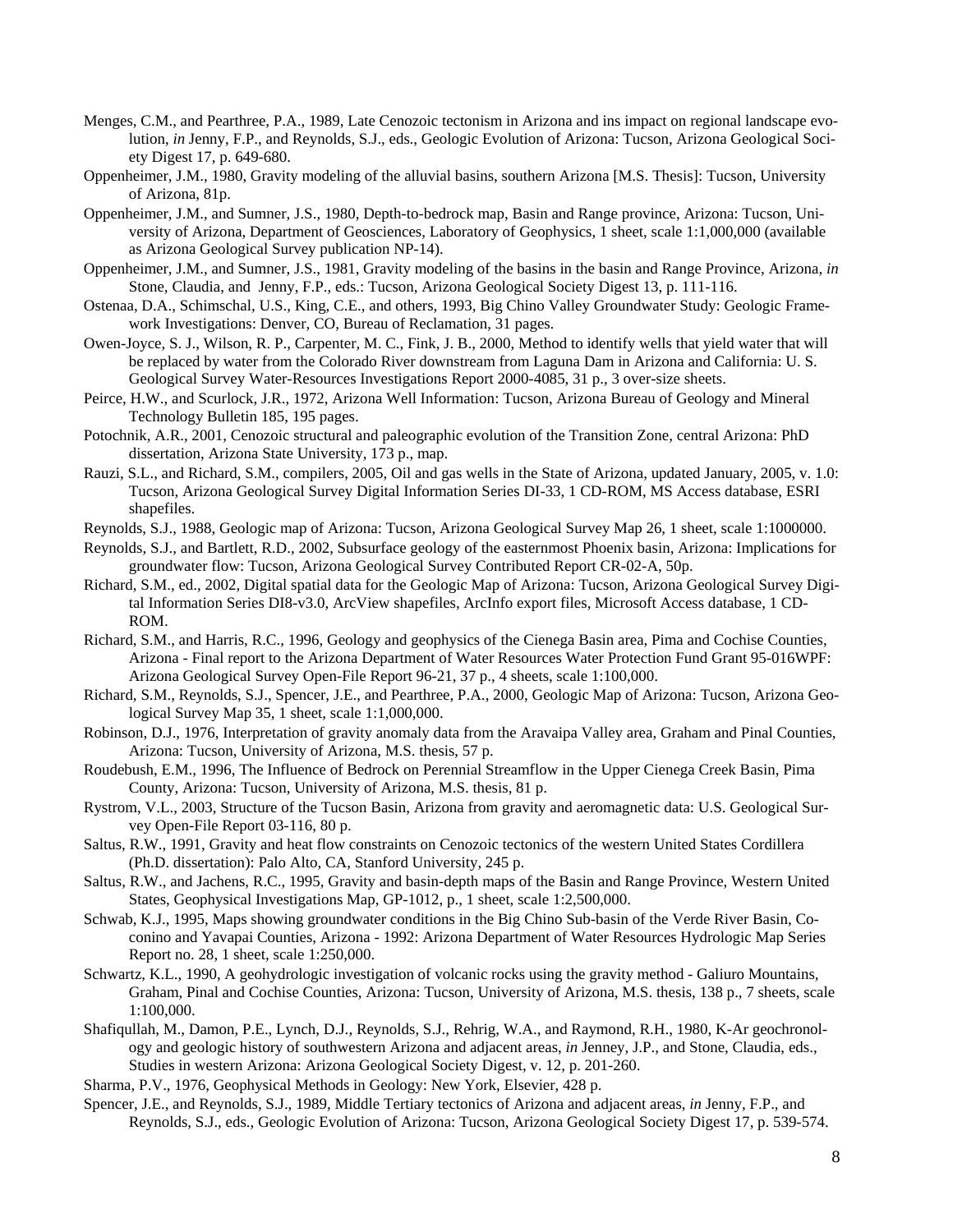- Menges, C.M., and Pearthree, P.A., 1989, Late Cenozoic tectonism in Arizona and ins impact on regional landscape evolution, *in* Jenny, F.P., and Reynolds, S.J., eds., Geologic Evolution of Arizona: Tucson, Arizona Geological Society Digest 17, p. 649-680.
- Oppenheimer, J.M., 1980, Gravity modeling of the alluvial basins, southern Arizona [M.S. Thesis]: Tucson, University of Arizona, 81p.
- Oppenheimer, J.M., and Sumner, J.S., 1980, Depth-to-bedrock map, Basin and Range province, Arizona: Tucson, University of Arizona, Department of Geosciences, Laboratory of Geophysics, 1 sheet, scale 1:1,000,000 (available as Arizona Geological Survey publication NP-14).
- Oppenheimer, J.M., and Sumner, J.S., 1981, Gravity modeling of the basins in the basin and Range Province, Arizona, *in*  Stone, Claudia, and Jenny, F.P., eds.: Tucson, Arizona Geological Society Digest 13, p. 111-116.
- Ostenaa, D.A., Schimschal, U.S., King, C.E., and others, 1993, Big Chino Valley Groundwater Study: Geologic Framework Investigations: Denver, CO, Bureau of Reclamation, 31 pages.
- Owen-Joyce, S. J., Wilson, R. P., Carpenter, M. C., Fink, J. B., 2000, Method to identify wells that yield water that will be replaced by water from the Colorado River downstream from Laguna Dam in Arizona and California: U. S. Geological Survey Water-Resources Investigations Report 2000-4085, 31 p., 3 over-size sheets.
- Peirce, H.W., and Scurlock, J.R., 1972, Arizona Well Information: Tucson, Arizona Bureau of Geology and Mineral Technology Bulletin 185, 195 pages.
- Potochnik, A.R., 2001, Cenozoic structural and paleographic evolution of the Transition Zone, central Arizona: PhD dissertation, Arizona State University, 173 p., map.
- Rauzi, S.L., and Richard, S.M., compilers, 2005, Oil and gas wells in the State of Arizona, updated January, 2005, v. 1.0: Tucson, Arizona Geological Survey Digital Information Series DI-33, 1 CD-ROM, MS Access database, ESRI shapefiles.
- Reynolds, S.J., 1988, Geologic map of Arizona: Tucson, Arizona Geological Survey Map 26, 1 sheet, scale 1:1000000.
- Reynolds, S.J., and Bartlett, R.D., 2002, Subsurface geology of the easternmost Phoenix basin, Arizona: Implications for groundwater flow: Tucson, Arizona Geological Survey Contributed Report CR-02-A, 50p.
- Richard, S.M., ed., 2002, Digital spatial data for the Geologic Map of Arizona: Tucson, Arizona Geological Survey Digital Information Series DI8-v3.0, ArcView shapefiles, ArcInfo export files, Microsoft Access database, 1 CD-ROM.
- Richard, S.M., and Harris, R.C., 1996, Geology and geophysics of the Cienega Basin area, Pima and Cochise Counties, Arizona - Final report to the Arizona Department of Water Resources Water Protection Fund Grant 95-016WPF: Arizona Geological Survey Open-File Report 96-21, 37 p., 4 sheets, scale 1:100,000.
- Richard, S.M., Reynolds, S.J., Spencer, J.E., and Pearthree, P.A., 2000, Geologic Map of Arizona: Tucson, Arizona Geological Survey Map 35, 1 sheet, scale 1:1,000,000.
- Robinson, D.J., 1976, Interpretation of gravity anomaly data from the Aravaipa Valley area, Graham and Pinal Counties, Arizona: Tucson, University of Arizona, M.S. thesis, 57 p.
- Roudebush, E.M., 1996, The Influence of Bedrock on Perennial Streamflow in the Upper Cienega Creek Basin, Pima County, Arizona: Tucson, University of Arizona, M.S. thesis, 81 p.
- Rystrom, V.L., 2003, Structure of the Tucson Basin, Arizona from gravity and aeromagnetic data: U.S. Geological Survey Open-File Report 03-116, 80 p.
- Saltus, R.W., 1991, Gravity and heat flow constraints on Cenozoic tectonics of the western United States Cordillera (Ph.D. dissertation): Palo Alto, CA, Stanford University, 245 p.
- Saltus, R.W., and Jachens, R.C., 1995, Gravity and basin-depth maps of the Basin and Range Province, Western United States, Geophysical Investigations Map, GP-1012, p., 1 sheet, scale 1:2,500,000.
- Schwab, K.J., 1995, Maps showing groundwater conditions in the Big Chino Sub-basin of the Verde River Basin, Coconino and Yavapai Counties, Arizona - 1992: Arizona Department of Water Resources Hydrologic Map Series Report no. 28, 1 sheet, scale 1:250,000.
- Schwartz, K.L., 1990, A geohydrologic investigation of volcanic rocks using the gravity method Galiuro Mountains, Graham, Pinal and Cochise Counties, Arizona: Tucson, University of Arizona, M.S. thesis, 138 p., 7 sheets, scale 1:100,000.
- Shafiqullah, M., Damon, P.E., Lynch, D.J., Reynolds, S.J., Rehrig, W.A., and Raymond, R.H., 1980, K-Ar geochronology and geologic history of southwestern Arizona and adjacent areas, *in* Jenney, J.P., and Stone, Claudia, eds., Studies in western Arizona: Arizona Geological Society Digest, v. 12, p. 201-260.
- Sharma, P.V., 1976, Geophysical Methods in Geology: New York, Elsevier, 428 p.
- Spencer, J.E., and Reynolds, S.J., 1989, Middle Tertiary tectonics of Arizona and adjacent areas, *in* Jenny, F.P., and Reynolds, S.J., eds., Geologic Evolution of Arizona: Tucson, Arizona Geological Society Digest 17, p. 539-574.